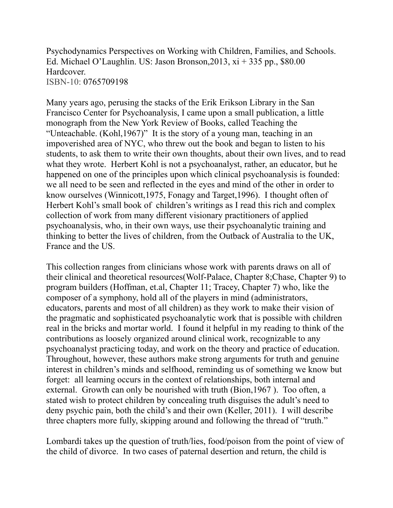Psychodynamics Perspectives on Working with Children, Families, and Schools. Ed. Michael O'Laughlin. US: Jason Bronson,2013, xi + 335 pp., \$80.00 Hardcover. ISBN-10: 0765709198

Many years ago, perusing the stacks of the Erik Erikson Library in the San Francisco Center for Psychoanalysis, I came upon a small publication, a little monograph from the New York Review of Books, called Teaching the "Unteachable. (Kohl,1967)" It is the story of a young man, teaching in an impoverished area of NYC, who threw out the book and began to listen to his students, to ask them to write their own thoughts, about their own lives, and to read what they wrote. Herbert Kohl is not a psychoanalyst, rather, an educator, but he happened on one of the principles upon which clinical psychoanalysis is founded: we all need to be seen and reflected in the eyes and mind of the other in order to know ourselves (Winnicott,1975, Fonagy and Target,1996). I thought often of Herbert Kohl's small book of children's writings as I read this rich and complex collection of work from many different visionary practitioners of applied psychoanalysis, who, in their own ways, use their psychoanalytic training and thinking to better the lives of children, from the Outback of Australia to the UK, France and the US.

This collection ranges from clinicians whose work with parents draws on all of their clinical and theoretical resources(Wolf-Palace, Chapter 8;Chase, Chapter 9) to program builders (Hoffman, et.al, Chapter 11; Tracey, Chapter 7) who, like the composer of a symphony, hold all of the players in mind (administrators, educators, parents and most of all children) as they work to make their vision of the pragmatic and sophisticated psychoanalytic work that is possible with children real in the bricks and mortar world. I found it helpful in my reading to think of the contributions as loosely organized around clinical work, recognizable to any psychoanalyst practicing today, and work on the theory and practice of education. Throughout, however, these authors make strong arguments for truth and genuine interest in children's minds and selfhood, reminding us of something we know but forget: all learning occurs in the context of relationships, both internal and external. Growth can only be nourished with truth (Bion,1967 ). Too often, a stated wish to protect children by concealing truth disguises the adult's need to deny psychic pain, both the child's and their own (Keller, 2011). I will describe three chapters more fully, skipping around and following the thread of "truth."

Lombardi takes up the question of truth/lies, food/poison from the point of view of the child of divorce. In two cases of paternal desertion and return, the child is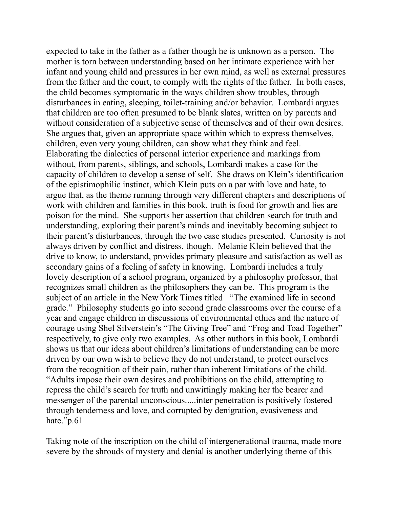expected to take in the father as a father though he is unknown as a person. The mother is torn between understanding based on her intimate experience with her infant and young child and pressures in her own mind, as well as external pressures from the father and the court, to comply with the rights of the father. In both cases, the child becomes symptomatic in the ways children show troubles, through disturbances in eating, sleeping, toilet-training and/or behavior. Lombardi argues that children are too often presumed to be blank slates, written on by parents and without consideration of a subjective sense of themselves and of their own desires. She argues that, given an appropriate space within which to express themselves, children, even very young children, can show what they think and feel. Elaborating the dialectics of personal interior experience and markings from without, from parents, siblings, and schools, Lombardi makes a case for the capacity of children to develop a sense of self. She draws on Klein's identification of the epistimophilic instinct, which Klein puts on a par with love and hate, to argue that, as the theme running through very different chapters and descriptions of work with children and families in this book, truth is food for growth and lies are poison for the mind. She supports her assertion that children search for truth and understanding, exploring their parent's minds and inevitably becoming subject to their parent's disturbances, through the two case studies presented. Curiosity is not always driven by conflict and distress, though. Melanie Klein believed that the drive to know, to understand, provides primary pleasure and satisfaction as well as secondary gains of a feeling of safety in knowing. Lombardi includes a truly lovely description of a school program, organized by a philosophy professor, that recognizes small children as the philosophers they can be. This program is the subject of an article in the New York Times titled "The examined life in second grade." Philosophy students go into second grade classrooms over the course of a year and engage children in discussions of environmental ethics and the nature of courage using Shel Silverstein's "The Giving Tree" and "Frog and Toad Together" respectively, to give only two examples. As other authors in this book, Lombardi shows us that our ideas about children's limitations of understanding can be more driven by our own wish to believe they do not understand, to protect ourselves from the recognition of their pain, rather than inherent limitations of the child. "Adults impose their own desires and prohibitions on the child, attempting to repress the child's search for truth and unwittingly making her the bearer and messenger of the parental unconscious.....inter penetration is positively fostered through tenderness and love, and corrupted by denigration, evasiveness and hate."p.61

Taking note of the inscription on the child of intergenerational trauma, made more severe by the shrouds of mystery and denial is another underlying theme of this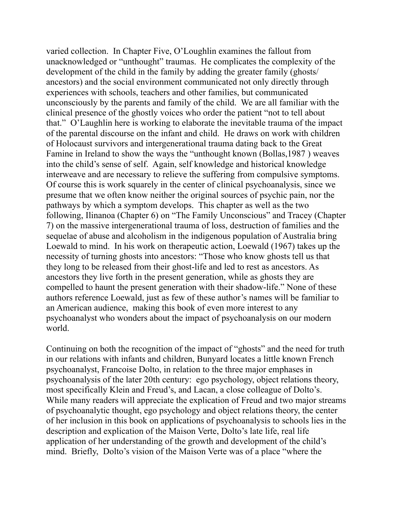varied collection. In Chapter Five, O'Loughlin examines the fallout from unacknowledged or "unthought" traumas. He complicates the complexity of the development of the child in the family by adding the greater family (ghosts/ ancestors) and the social environment communicated not only directly through experiences with schools, teachers and other families, but communicated unconsciously by the parents and family of the child. We are all familiar with the clinical presence of the ghostly voices who order the patient "not to tell about that." O'Laughlin here is working to elaborate the inevitable trauma of the impact of the parental discourse on the infant and child. He draws on work with children of Holocaust survivors and intergenerational trauma dating back to the Great Famine in Ireland to show the ways the "unthought known (Bollas,1987 ) weaves into the child's sense of self. Again, self knowledge and historical knowledge interweave and are necessary to relieve the suffering from compulsive symptoms. Of course this is work squarely in the center of clinical psychoanalysis, since we presume that we often know neither the original sources of psychic pain, nor the pathways by which a symptom develops. This chapter as well as the two following, Ilinanoa (Chapter 6) on "The Family Unconscious" and Tracey (Chapter 7) on the massive intergenerational trauma of loss, destruction of families and the sequelae of abuse and alcoholism in the indigenous population of Australia bring Loewald to mind. In his work on therapeutic action, Loewald (1967) takes up the necessity of turning ghosts into ancestors: "Those who know ghosts tell us that they long to be released from their ghost-life and led to rest as ancestors. As ancestors they live forth in the present generation, while as ghosts they are compelled to haunt the present generation with their shadow-life." None of these authors reference Loewald, just as few of these author's names will be familiar to an American audience, making this book of even more interest to any psychoanalyst who wonders about the impact of psychoanalysis on our modern world.

Continuing on both the recognition of the impact of "ghosts" and the need for truth in our relations with infants and children, Bunyard locates a little known French psychoanalyst, Francoise Dolto, in relation to the three major emphases in psychoanalysis of the later 20th century: ego psychology, object relations theory, most specifically Klein and Freud's, and Lacan, a close colleague of Dolto's. While many readers will appreciate the explication of Freud and two major streams of psychoanalytic thought, ego psychology and object relations theory, the center of her inclusion in this book on applications of psychoanalysis to schools lies in the description and explication of the Maison Verte, Dolto's late life, real life application of her understanding of the growth and development of the child's mind. Briefly, Dolto's vision of the Maison Verte was of a place "where the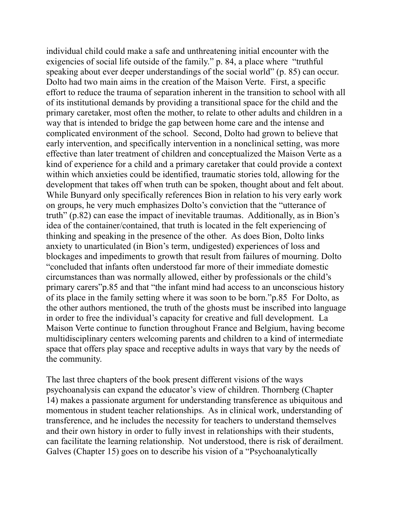individual child could make a safe and unthreatening initial encounter with the exigencies of social life outside of the family." p. 84, a place where "truthful speaking about ever deeper understandings of the social world" (p. 85) can occur. Dolto had two main aims in the creation of the Maison Verte. First, a specific effort to reduce the trauma of separation inherent in the transition to school with all of its institutional demands by providing a transitional space for the child and the primary caretaker, most often the mother, to relate to other adults and children in a way that is intended to bridge the gap between home care and the intense and complicated environment of the school. Second, Dolto had grown to believe that early intervention, and specifically intervention in a nonclinical setting, was more effective than later treatment of children and conceptualized the Maison Verte as a kind of experience for a child and a primary caretaker that could provide a context within which anxieties could be identified, traumatic stories told, allowing for the development that takes off when truth can be spoken, thought about and felt about. While Bunyard only specifically references Bion in relation to his very early work on groups, he very much emphasizes Dolto's conviction that the "utterance of truth" (p.82) can ease the impact of inevitable traumas. Additionally, as in Bion's idea of the container/contained, that truth is located in the felt experiencing of thinking and speaking in the presence of the other. As does Bion, Dolto links anxiety to unarticulated (in Bion's term, undigested) experiences of loss and blockages and impediments to growth that result from failures of mourning. Dolto "concluded that infants often understood far more of their immediate domestic circumstances than was normally allowed, either by professionals or the child's primary carers"p.85 and that "the infant mind had access to an unconscious history of its place in the family setting where it was soon to be born."p.85 For Dolto, as the other authors mentioned, the truth of the ghosts must be inscribed into language in order to free the individual's capacity for creative and full development. La Maison Verte continue to function throughout France and Belgium, having become multidisciplinary centers welcoming parents and children to a kind of intermediate space that offers play space and receptive adults in ways that vary by the needs of the community.

The last three chapters of the book present different visions of the ways psychoanalysis can expand the educator's view of children. Thornberg (Chapter 14) makes a passionate argument for understanding transference as ubiquitous and momentous in student teacher relationships. As in clinical work, understanding of transference, and he includes the necessity for teachers to understand themselves and their own history in order to fully invest in relationships with their students, can facilitate the learning relationship. Not understood, there is risk of derailment. Galves (Chapter 15) goes on to describe his vision of a "Psychoanalytically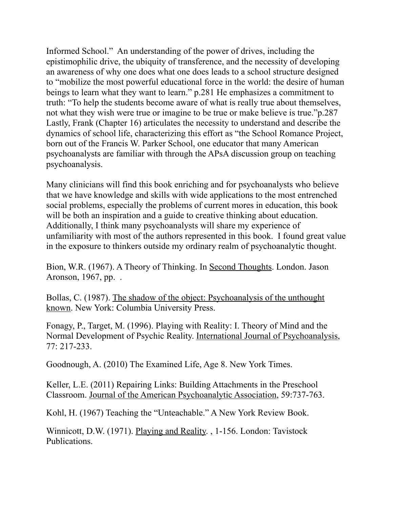Informed School." An understanding of the power of drives, including the epistimophilic drive, the ubiquity of transference, and the necessity of developing an awareness of why one does what one does leads to a school structure designed to "mobilize the most powerful educational force in the world: the desire of human beings to learn what they want to learn." p.281 He emphasizes a commitment to truth: "To help the students become aware of what is really true about themselves, not what they wish were true or imagine to be true or make believe is true."p.287 Lastly, Frank (Chapter 16) articulates the necessity to understand and describe the dynamics of school life, characterizing this effort as "the School Romance Project, born out of the Francis W. Parker School, one educator that many American psychoanalysts are familiar with through the APsA discussion group on teaching psychoanalysis.

Many clinicians will find this book enriching and for psychoanalysts who believe that we have knowledge and skills with wide applications to the most entrenched social problems, especially the problems of current mores in education, this book will be both an inspiration and a guide to creative thinking about education. Additionally, I think many psychoanalysts will share my experience of unfamiliarity with most of the authors represented in this book. I found great value in the exposure to thinkers outside my ordinary realm of psychoanalytic thought.

Bion, W.R. (1967). A Theory of Thinking. In Second Thoughts. London. Jason Aronson, 1967, pp. .

Bollas, C. (1987). The shadow of the object: Psychoanalysis of the unthought known. New York: Columbia University Press.

Fonagy, P., Target, M. (1996). Playing with Reality: I. Theory of Mind and the Normal Development of Psychic Reality. International Journal of Psychoanalysis, 77: 217-233.

Goodnough, A. (2010) The Examined Life, Age 8. New York Times.

Keller, L.E. (2011) Repairing Links: Building Attachments in the Preschool Classroom. Journal of the American Psychoanalytic Association, 59:737-763.

Kohl, H. (1967) Teaching the "Unteachable." A New York Review Book.

Winnicott, D.W. (1971). Playing and Reality. , 1-156. London: Tavistock Publications.